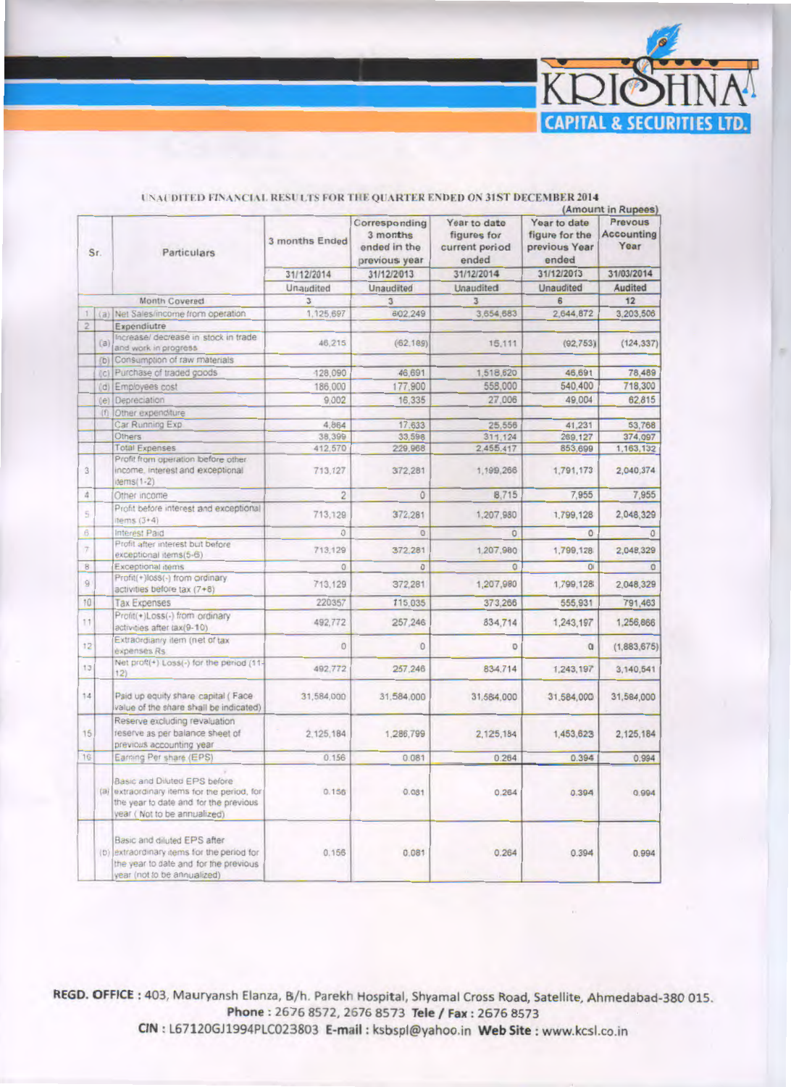

|                                               |     |                                                                                                                                                     |                |                                                            | (Amount in Rupees)                                     |                                                          |                                      |
|-----------------------------------------------|-----|-----------------------------------------------------------------------------------------------------------------------------------------------------|----------------|------------------------------------------------------------|--------------------------------------------------------|----------------------------------------------------------|--------------------------------------|
| Sr.                                           |     | Particulars                                                                                                                                         | 3 months Ended | Corresponding<br>3 months<br>ended in the<br>previous year | Year to date<br>figures for<br>current period<br>ended | Year to date<br>figure for the<br>previous Year<br>ended | Prevous<br><b>Accounting</b><br>Year |
|                                               |     |                                                                                                                                                     | 31/12/2014     | 31/12/2013                                                 | 31/12/2014                                             | 31/12/2013                                               | 31/03/2014                           |
|                                               |     |                                                                                                                                                     | Unaudited<br>3 | Unaudited<br>3                                             | Unaudited                                              | Unaudited                                                | Audited<br>12                        |
|                                               |     |                                                                                                                                                     |                |                                                            | $\overline{3}$                                         | 6                                                        |                                      |
|                                               |     | Month Covered                                                                                                                                       | 1.125.697      | 602.249                                                    | 3,654,683                                              | 2,644,872                                                | 3,203,506                            |
| $\left\vert 1\right\rangle$<br>$\overline{2}$ |     | (a) Net Sales/income from operation                                                                                                                 |                |                                                            |                                                        |                                                          |                                      |
|                                               | (a) | Expendiutre<br>Increase/ decrease in stock in trade<br>and work in progress                                                                         | 46.215         | (62, 189)                                                  | 15.111                                                 | (92, 753)                                                | (124, 337)                           |
|                                               |     | (b) Consumption of raw materials                                                                                                                    |                |                                                            |                                                        |                                                          |                                      |
|                                               |     | (c) Purchase of traded goods                                                                                                                        | 128,090        | 46,691                                                     | 1,518,620                                              | 46,691                                                   | 78,489                               |
|                                               |     | (d) Employees cost                                                                                                                                  | 186,000        | 177,900                                                    | 558,000                                                | 540.400                                                  | 718,300                              |
|                                               |     | (e) Depreciation                                                                                                                                    | 9.002          | 16,335                                                     | 27,006                                                 | 49,004                                                   | 62.815                               |
|                                               |     |                                                                                                                                                     |                |                                                            |                                                        |                                                          |                                      |
|                                               | (f) | Other expenditure<br>Car Running Exp.                                                                                                               | 4.864          | 17,633                                                     | 25,556                                                 | 41,231                                                   | 53,768                               |
|                                               |     | Others                                                                                                                                              | 38,399         | 33,598                                                     | 311,124                                                | 269,127                                                  | 374.097                              |
|                                               |     | <b>Total Expenses</b>                                                                                                                               | 412.570        | 229,968                                                    | 2,455,417                                              | 853,699                                                  | 1,163,132                            |
| $\overline{3}$                                |     | Profit from operation before other<br>income, interest and exceptional<br>$items(1-2)$                                                              | 713.127        | 372,281                                                    | 1,199,266                                              | 1,791,173                                                | 2,040,374                            |
| $\Delta$                                      |     | Other income                                                                                                                                        | $\overline{c}$ | $\theta$                                                   | 8,715                                                  | 7,955                                                    | 7,955                                |
| 5                                             |     | Profit before interest and exceptional                                                                                                              | 713,129        | 372,281                                                    | 1,207,980                                              | 1,799,128                                                | 2.048.329                            |
|                                               |     | items $(3+4)$                                                                                                                                       |                |                                                            |                                                        |                                                          |                                      |
| B.                                            |     | Interest Paid                                                                                                                                       | $\Omega$       | $\alpha$                                                   | $\overline{0}$                                         | $\circ$                                                  | $\alpha$                             |
| $\overline{z}$                                |     | Profit after interest but before<br>exceptional items(5-6)                                                                                          | 713,129        | 372.281                                                    | 1,207,980                                              | 1,799,128                                                | 2,048,329                            |
| $\overline{8}$                                |     | Exceptional items                                                                                                                                   | $\Omega$       | $\Omega$                                                   | $\overline{0}$                                         | $\Omega$                                                 | $\sigma$                             |
| $\overline{9}$                                |     | Profit(+)loss(-) from ordinary<br>activities before tax (7+8)                                                                                       | 713.129        | 372,281                                                    | 1,207,980                                              | 1,799,128                                                | 2.048.329                            |
| 10                                            |     | <b>Tax Expenses</b>                                                                                                                                 | 220357         | 115,035                                                    | 373,266                                                | 555,931                                                  | 791,463                              |
| 11                                            |     | Profit(+)Loss(-) from ordinary<br>activities after tax(9-10)                                                                                        | 492,772        | 257,246                                                    | 834,714                                                | 1,243,197                                                | 1.256,866                            |
| 12                                            |     | Extraordianry item (net of tax<br>expenses Rs                                                                                                       | ö              | $\Omega$                                                   | $\mathbf 0$                                            | $\alpha$                                                 | (1,883,675)                          |
| 13                                            |     | Net proft(+) Loss(-) for the period (11-<br>12)                                                                                                     | 492.772        | 257.246                                                    | 834,714                                                | 1,243,197                                                | 3,140,541                            |
| 14                                            |     | Paid up equity share capital (Face<br>value of the share shall be indicated)                                                                        | 31,584,000     | 31.584.000                                                 | 31,584,000                                             | 31,584,000                                               | 31,584,000                           |
| 15                                            |     | Reserve excluding revaluation<br>reserve as per balance sheet of<br>previous accounting year                                                        | 2.125.184      | 1,286,799                                                  | 2,125,184                                              | 1,453,623                                                | 2,125,184                            |
| 16                                            |     | Earning Per share (EPS)                                                                                                                             | 0.156          | 0.081                                                      | 0.264                                                  | 0.394                                                    | 0.994                                |
|                                               |     | Basic and Diluted EPS before<br>(a) extraordinary items for the period, for<br>the year to date and for the previous<br>year (Not to be annualized) | 0.156          | 0.081                                                      | 0.264                                                  | 0.394                                                    | 0.994                                |
|                                               |     | Basic and diluted EPS after<br>(b) extraordinary items for the period for<br>the year to date and for the previous<br>year (not to be annualized)   | 0.156          | 0.081                                                      | 0.264                                                  | 0.394                                                    | 0.994                                |

## UNAUDITED FINANCIAL RESULTS FOR THE QUARTER ENDED ON 31ST DECEMBER 2014

REGD. OFFICE: 403, Mauryansh Elanza, B/h. Parekh Hospital, Shyamal Cross Road, Satellite, Ahmedabad-380 015. Phone: 2676 8572, 2676 8573 Tele / Fax: 2676 8573 CIN: L67120GJ1994PLC023803 E-mail: ksbspl@yahoo.in Web Site: www.kcsl.co.in